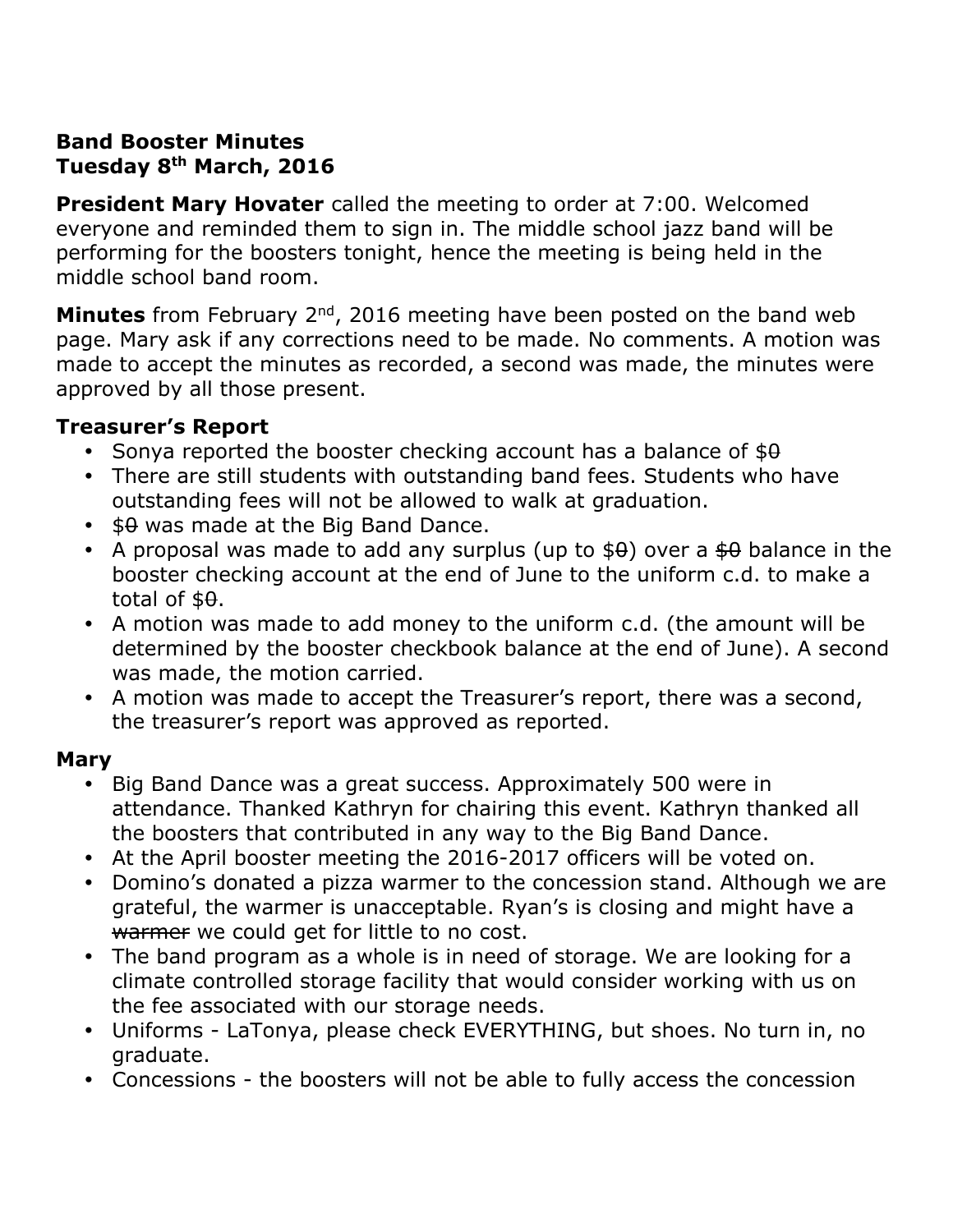#### **Band Booster Minutes Tuesday 8th March, 2016**

**President Mary Hovater** called the meeting to order at 7:00. Welcomed everyone and reminded them to sign in. The middle school jazz band will be performing for the boosters tonight, hence the meeting is being held in the middle school band room.

**Minutes** from February 2<sup>nd</sup>, 2016 meeting have been posted on the band web page. Mary ask if any corrections need to be made. No comments. A motion was made to accept the minutes as recorded, a second was made, the minutes were approved by all those present.

### **Treasurer's Report**

- Sonya reported the booster checking account has a balance of  $$θ$
- There are still students with outstanding band fees. Students who have outstanding fees will not be allowed to walk at graduation.
- $\cdot$  \$0 was made at the Big Band Dance.
- A proposal was made to add any surplus (up to  $$0$ ) over a  $$0$  balance in the booster checking account at the end of June to the uniform c.d. to make a total of  $$9.$
- A motion was made to add money to the uniform c.d. (the amount will be determined by the booster checkbook balance at the end of June). A second was made, the motion carried.
- A motion was made to accept the Treasurer's report, there was a second, the treasurer's report was approved as reported.

# **Mary**

- Big Band Dance was a great success. Approximately 500 were in attendance. Thanked Kathryn for chairing this event. Kathryn thanked all the boosters that contributed in any way to the Big Band Dance.
- At the April booster meeting the 2016-2017 officers will be voted on.
- Domino's donated a pizza warmer to the concession stand. Although we are grateful, the warmer is unacceptable. Ryan's is closing and might have a warmer we could get for little to no cost.
- The band program as a whole is in need of storage. We are looking for a climate controlled storage facility that would consider working with us on the fee associated with our storage needs.
- Uniforms LaTonya, please check EVERYTHING, but shoes. No turn in, no graduate.
- Concessions the boosters will not be able to fully access the concession